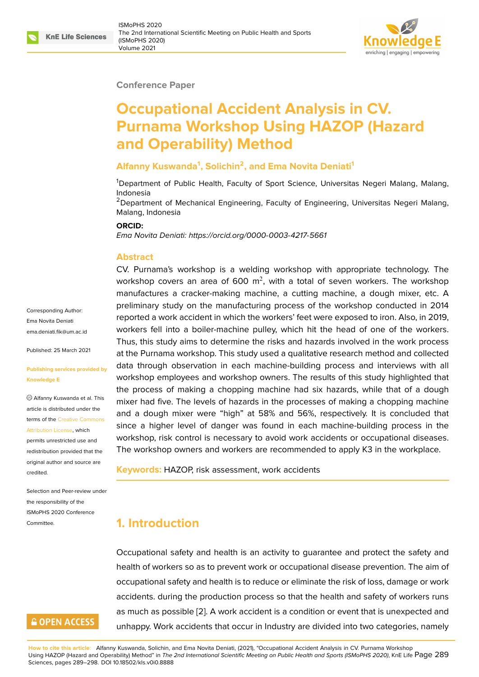#### **Conference Paper**

# **Occupational Accident Analysis in CV. Purnama Workshop Using HAZOP (Hazard and Operability) Method**

## **Alfanny Kuswanda<sup>1</sup> , Solichin<sup>2</sup> , and Ema Novita Deniati<sup>1</sup>**

<sup>1</sup>Department of Public Health, Faculty of Sport Science, Universitas Negeri Malang, Malang, Indonesia

<sup>2</sup>Department of Mechanical Engineering, Faculty of Engineering, Universitas Negeri Malang, Malang, Indonesia

#### **ORCID:**

*Ema Novita Deniati: https://orcid.org/0000-0003-4217-5661*

#### **Abstract**

CV. Purnama's wo[rkshop is a welding workshop wit](https://orcid.org/0000-0003-4217-5661)h appropriate technology. The workshop covers an area of 600  $\mathrm{m}^2$ , with a total of seven workers. The workshop manufactures a cracker-making machine, a cutting machine, a dough mixer, etc. A preliminary study on the manufacturing process of the workshop conducted in 2014 reported a work accident in which the workers' feet were exposed to iron. Also, in 2019, workers fell into a boiler-machine pulley, which hit the head of one of the workers. Thus, this study aims to determine the risks and hazards involved in the work process at the Purnama workshop. This study used a qualitative research method and collected data through observation in each machine-building process and interviews with all workshop employees and workshop owners. The results of this study highlighted that the process of making a chopping machine had six hazards, while that of a dough mixer had five. The levels of hazards in the processes of making a chopping machine and a dough mixer were "high" at 58% and 56%, respectively. It is concluded that since a higher level of danger was found in each machine-building process in the workshop, risk control is necessary to avoid work accidents or occupational diseases. The workshop owners and workers are recommended to apply K3 in the workplace.

**Keywords:** HAZOP, risk assessment, work accidents

# **1. Introduction**

Occupational safety and health is an activity to guarantee and protect the safety and health of workers so as to prevent work or occupational disease prevention. The aim of occupational safety and health is to reduce or eliminate the risk of loss, damage or work accidents. during the production process so that the health and safety of workers runs as much as possible [2]. A work accident is a condition or event that is unexpected and unhappy. Work accidents that occur in Industry are divided into two categories, namely

# **GOPEN ACCESS**

**How to cite this article**: Alfanny Kuswanda, Solichin, and Ema Novita Deniati, (2021), "Occupational Accident Analysis in CV. Purnama Workshop Using HAZOP (Hazard and Operability) Method" in *The 2nd Inter[na](#page-7-0)tional Scientific Meeting on Public Health and Sports (ISMoPHS 2020)*, KnE Life Page 289 Sciences, pages 289–298. DOI 10.18502/kls.v0i0.8888

Corresponding Author: Ema Novita Deniati ema deniati fik@um ac.id

Published: 25 March 2021

#### **[Publishing services prov](mailto:ema.deniati.fik@um.ac.id)ided by Knowledge E**

Alfanny Kuswanda et al. This article is distributed under the terms of the Creative Commons Attribution License, which

permits unrestricted use and redistribution provided that the original auth[or and source are](https://creativecommons.org/licenses/by/4.0/) [credited.](https://creativecommons.org/licenses/by/4.0/)

Selection and Peer-review under the responsibility of the ISMoPHS 2020 Conference Committee.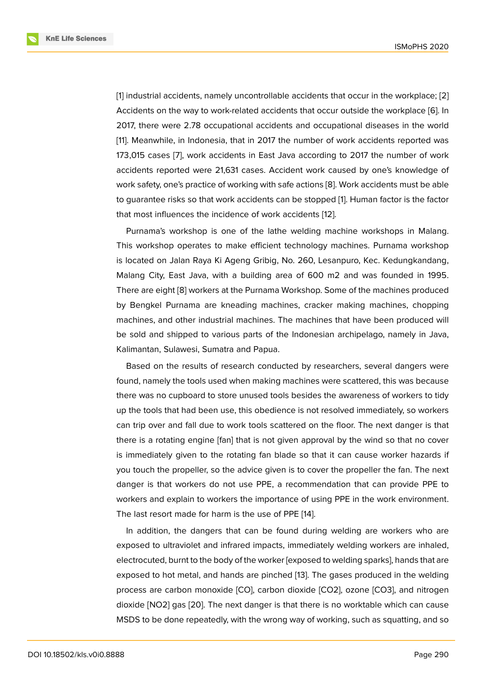[1] industrial accidents, namely uncontrollable accidents that occur in the workplace; [2] Accidents on the way to work-related accidents that occur outside the workplace [6]. In 2017, there were 2.78 occupational accidents and occupational diseases in the world [[1](#page-7-1)1]. Meanwhile, in Indonesia, that in 2017 the number of work accidents reported w[as](#page-7-0) 173,015 cases [7], work accidents in East Java according to 2017 the number of [w](#page-8-0)ork accidents reported were 21,631 cases. Accident work caused by one's knowledge of [wo](#page-8-1)rk safety, one's practice of working with safe actions [8]. Work accidents must be able to guarantee ri[sk](#page-8-2)s so that work accidents can be stopped [1]. Human factor is the factor that most influences the incidence of work accidents [12].

Purnama's workshop is one of the lathe welding [ma](#page-8-3)chine workshops in Malang. This workshop operates to make efficient technology m[ac](#page-7-1)hines. Purnama workshop is located on Jalan Raya Ki Ageng Gribig, No. 260, L[esa](#page-8-4)npuro, Kec. Kedungkandang, Malang City, East Java, with a building area of 600 m2 and was founded in 1995. There are eight [8] workers at the Purnama Workshop. Some of the machines produced by Bengkel Purnama are kneading machines, cracker making machines, chopping machines, and other industrial machines. The machines that have been produced will be sold and shi[pp](#page-8-3)ed to various parts of the Indonesian archipelago, namely in Java, Kalimantan, Sulawesi, Sumatra and Papua.

Based on the results of research conducted by researchers, several dangers were found, namely the tools used when making machines were scattered, this was because there was no cupboard to store unused tools besides the awareness of workers to tidy up the tools that had been use, this obedience is not resolved immediately, so workers can trip over and fall due to work tools scattered on the floor. The next danger is that there is a rotating engine [fan] that is not given approval by the wind so that no cover is immediately given to the rotating fan blade so that it can cause worker hazards if you touch the propeller, so the advice given is to cover the propeller the fan. The next danger is that workers do not use PPE, a recommendation that can provide PPE to workers and explain to workers the importance of using PPE in the work environment. The last resort made for harm is the use of PPE [14].

In addition, the dangers that can be found during welding are workers who are exposed to ultraviolet and infrared impacts, immediately welding workers are inhaled, electrocuted, burnt to the body of the worker [exp[ose](#page-8-5)d to welding sparks], hands that are exposed to hot metal, and hands are pinched [13]. The gases produced in the welding process are carbon monoxide [CO], carbon dioxide [CO2], ozone [CO3], and nitrogen dioxide [NO2] gas [20]. The next danger is that there is no worktable which can cause MSDS to be done repeatedly, with the wrong w[ay](#page-8-6) of working, such as squatting, and so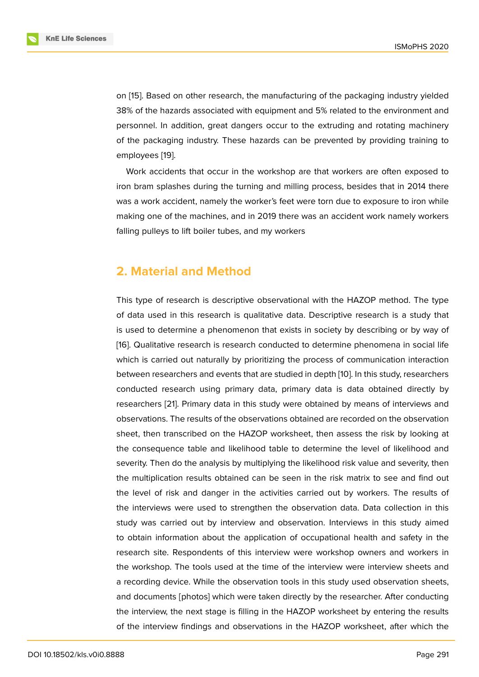on [15]. Based on other research, the manufacturing of the packaging industry yielded 38% of the hazards associated with equipment and 5% related to the environment and personnel. In addition, great dangers occur to the extruding and rotating machinery of t[he](#page-8-7) packaging industry. These hazards can be prevented by providing training to employees [19].

Work accidents that occur in the workshop are that workers are often exposed to iron bram splashes during the turning and milling process, besides that in 2014 there was a work [ac](#page-9-0)cident, namely the worker's feet were torn due to exposure to iron while making one of the machines, and in 2019 there was an accident work namely workers falling pulleys to lift boiler tubes, and my workers

# **2. Material and Method**

This type of research is descriptive observational with the HAZOP method. The type of data used in this research is qualitative data. Descriptive research is a study that is used to determine a phenomenon that exists in society by describing or by way of [16]. Qualitative research is research conducted to determine phenomena in social life which is carried out naturally by prioritizing the process of communication interaction between researchers and events that are studied in depth [10]. In this study, researchers [con](#page-8-8)ducted research using primary data, primary data is data obtained directly by researchers [21]. Primary data in this study were obtained by means of interviews and observations. The results of the observations obtained are [rec](#page-8-9)orded on the observation sheet, then transcribed on the HAZOP worksheet, then assess the risk by looking at the consequ[enc](#page-9-1)e table and likelihood table to determine the level of likelihood and severity. Then do the analysis by multiplying the likelihood risk value and severity, then the multiplication results obtained can be seen in the risk matrix to see and find out the level of risk and danger in the activities carried out by workers. The results of the interviews were used to strengthen the observation data. Data collection in this study was carried out by interview and observation. Interviews in this study aimed to obtain information about the application of occupational health and safety in the research site. Respondents of this interview were workshop owners and workers in the workshop. The tools used at the time of the interview were interview sheets and a recording device. While the observation tools in this study used observation sheets, and documents [photos] which were taken directly by the researcher. After conducting the interview, the next stage is filling in the HAZOP worksheet by entering the results of the interview findings and observations in the HAZOP worksheet, after which the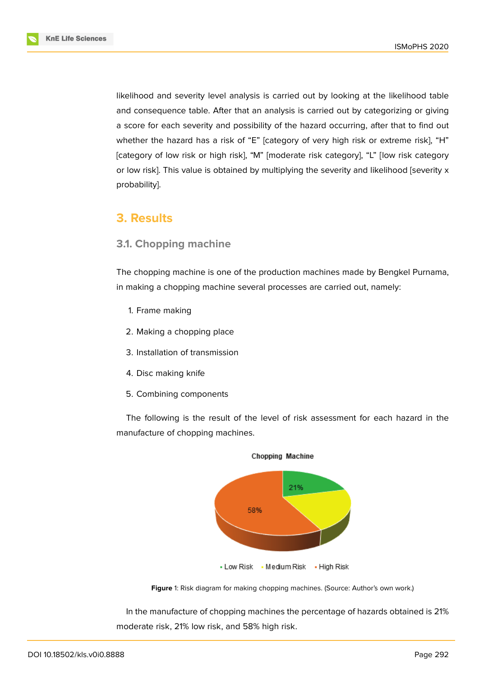

likelihood and severity level analysis is carried out by looking at the likelihood table and consequence table. After that an analysis is carried out by categorizing or giving a score for each severity and possibility of the hazard occurring, after that to find out whether the hazard has a risk of "E" [category of very high risk or extreme risk], "H" [category of low risk or high risk], "M" [moderate risk category], "L" [low risk category or low risk]. This value is obtained by multiplying the severity and likelihood [severity x probability].

# **3. Results**

## **3.1. Chopping machine**

The chopping machine is one of the production machines made by Bengkel Purnama, in making a chopping machine several processes are carried out, namely:

- 1. Frame making
- 2. Making a chopping place
- 3. Installation of transmission
- 4. Disc making knife
- 5. Combining components

The following is the result of the level of risk assessment for each hazard in the manufacture of chopping machines.



Chopping Machine

**Figure** 1: Risk diagram for making chopping machines. (Source: Author's own work.)

In the manufacture of chopping machines the percentage of hazards obtained is 21% moderate risk, 21% low risk, and 58% high risk.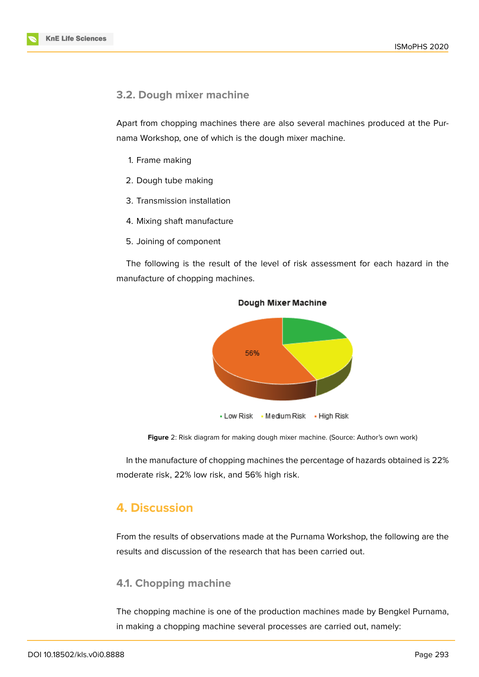

## **3.2. Dough mixer machine**

Apart from chopping machines there are also several machines produced at the Purnama Workshop, one of which is the dough mixer machine.

- 1. Frame making
- 2. Dough tube making
- 3. Transmission installation
- 4. Mixing shaft manufacture
- 5. Joining of component

The following is the result of the level of risk assessment for each hazard in the manufacture of chopping machines.



Dough Mixer Machine

**Figure** 2: Risk diagram for making dough mixer machine. (Source: Author's own work)

In the manufacture of chopping machines the percentage of hazards obtained is 22% moderate risk, 22% low risk, and 56% high risk.

# **4. Discussion**

From the results of observations made at the Purnama Workshop, the following are the results and discussion of the research that has been carried out.

## **4.1. Chopping machine**

The chopping machine is one of the production machines made by Bengkel Purnama, in making a chopping machine several processes are carried out, namely: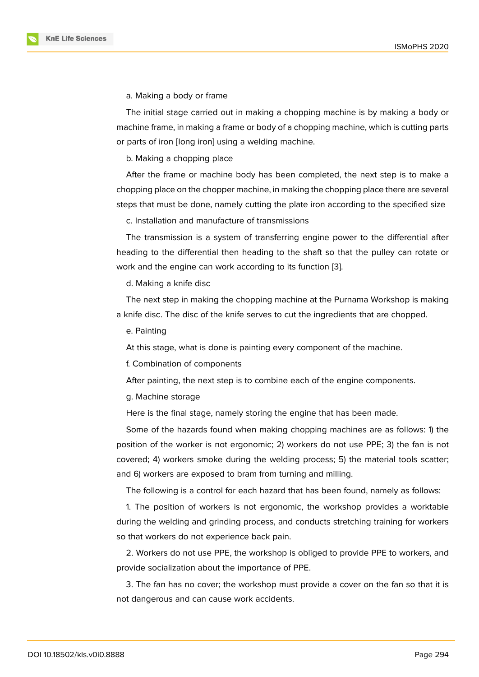a. Making a body or frame

The initial stage carried out in making a chopping machine is by making a body or machine frame, in making a frame or body of a chopping machine, which is cutting parts or parts of iron [long iron] using a welding machine.

b. Making a chopping place

After the frame or machine body has been completed, the next step is to make a chopping place on the chopper machine, in making the chopping place there are several steps that must be done, namely cutting the plate iron according to the specified size

c. Installation and manufacture of transmissions

The transmission is a system of transferring engine power to the differential after heading to the differential then heading to the shaft so that the pulley can rotate or work and the engine can work according to its function [3].

d. Making a knife disc

The next step in making the chopping machine at the [P](#page-7-2)urnama Workshop is making a knife disc. The disc of the knife serves to cut the ingredients that are chopped.

e. Painting

At this stage, what is done is painting every component of the machine.

f. Combination of components

After painting, the next step is to combine each of the engine components.

g. Machine storage

Here is the final stage, namely storing the engine that has been made.

Some of the hazards found when making chopping machines are as follows: 1) the position of the worker is not ergonomic; 2) workers do not use PPE; 3) the fan is not covered; 4) workers smoke during the welding process; 5) the material tools scatter; and 6) workers are exposed to bram from turning and milling.

The following is a control for each hazard that has been found, namely as follows:

1. The position of workers is not ergonomic, the workshop provides a worktable during the welding and grinding process, and conducts stretching training for workers so that workers do not experience back pain.

2. Workers do not use PPE, the workshop is obliged to provide PPE to workers, and provide socialization about the importance of PPE.

3. The fan has no cover; the workshop must provide a cover on the fan so that it is not dangerous and can cause work accidents.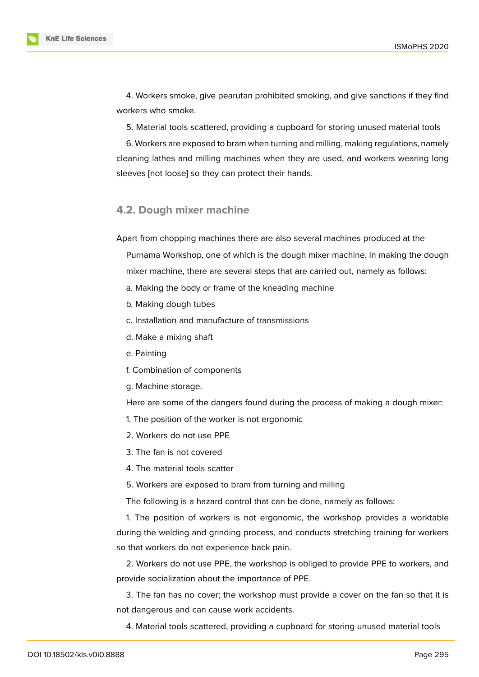

4. Workers smoke, give pearutan prohibited smoking, and give sanctions if they find workers who smoke.

5. Material tools scattered, providing a cupboard for storing unused material tools

6. Workers are exposed to bram when turning and milling, making regulations, namely cleaning lathes and milling machines when they are used, and workers wearing long sleeves [not loose] so they can protect their hands.

## **4.2. Dough mixer machine**

Apart from chopping machines there are also several machines produced at the

Purnama Workshop, one of which is the dough mixer machine. In making the dough mixer machine, there are several steps that are carried out, namely as follows:

- a. Making the body or frame of the kneading machine
- b. Making dough tubes
- c. Installation and manufacture of transmissions
- d. Make a mixing shaft
- e. Painting
- f. Combination of components
- g. Machine storage.

Here are some of the dangers found during the process of making a dough mixer:

- 1. The position of the worker is not ergonomic
- 2. Workers do not use PPE
- 3. The fan is not covered
- 4. The material tools scatter
- 5. Workers are exposed to bram from turning and milling

The following is a hazard control that can be done, namely as follows:

1. The position of workers is not ergonomic, the workshop provides a worktable during the welding and grinding process, and conducts stretching training for workers so that workers do not experience back pain.

2. Workers do not use PPE, the workshop is obliged to provide PPE to workers, and provide socialization about the importance of PPE.

3. The fan has no cover; the workshop must provide a cover on the fan so that it is not dangerous and can cause work accidents.

4. Material tools scattered, providing a cupboard for storing unused material tools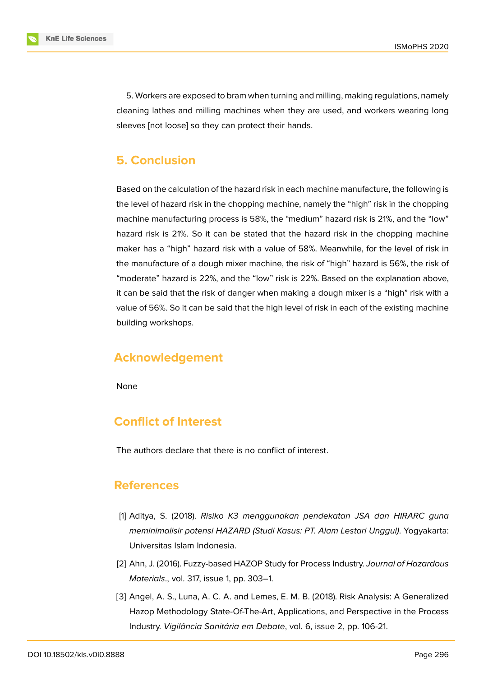

5. Workers are exposed to bram when turning and milling, making regulations, namely cleaning lathes and milling machines when they are used, and workers wearing long sleeves [not loose] so they can protect their hands.

# **5. Conclusion**

Based on the calculation of the hazard risk in each machine manufacture, the following is the level of hazard risk in the chopping machine, namely the "high" risk in the chopping machine manufacturing process is 58%, the "medium" hazard risk is 21%, and the "low" hazard risk is 21%. So it can be stated that the hazard risk in the chopping machine maker has a "high" hazard risk with a value of 58%. Meanwhile, for the level of risk in the manufacture of a dough mixer machine, the risk of "high" hazard is 56%, the risk of "moderate" hazard is 22%, and the "low" risk is 22%. Based on the explanation above, it can be said that the risk of danger when making a dough mixer is a "high" risk with a value of 56%. So it can be said that the high level of risk in each of the existing machine building workshops.

# **Acknowledgement**

None

# **Conflict of Interest**

The authors declare that there is no conflict of interest.

# **References**

- <span id="page-7-1"></span>[1] Aditya, S. (2018). *Risiko K3 menggunakan pendekatan JSA dan HIRARC guna meminimalisir potensi HAZARD (Studi Kasus: PT. Alam Lestari Unggul)*. Yogyakarta: Universitas Islam Indonesia.
- <span id="page-7-0"></span>[2] Ahn, J. (2016). Fuzzy-based HAZOP Study for Process Industry. *Journal of Hazardous Materials*., vol. 317, issue 1, pp. 303–1.
- <span id="page-7-2"></span>[3] Angel, A. S., Luna, A. C. A. and Lemes, E. M. B. (2018). Risk Analysis: A Generalized Hazop Methodology State-Of-The-Art, Applications, and Perspective in the Process Industry. *Vigilância Sanitária em Debate*, vol. 6, issue 2, pp. 106-21.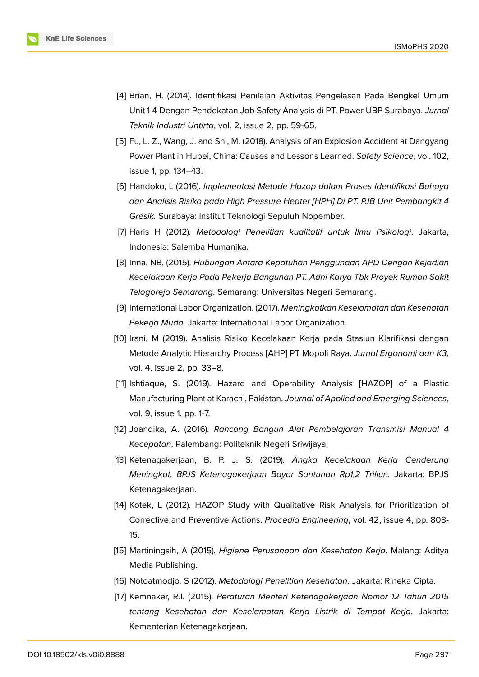

- [4] Brian, H. (2014). Identifikasi Penilaian Aktivitas Pengelasan Pada Bengkel Umum Unit 1-4 Dengan Pendekatan Job Safety Analysis di PT. Power UBP Surabaya. *Jurnal Teknik Industri Untirta*, vol. 2, issue 2, pp. 59-65.
- [5] Fu, L. Z., Wang, J. and Shi, M. (2018). Analysis of an Explosion Accident at Dangyang Power Plant in Hubei, China: Causes and Lessons Learned. *Safety Science*, vol. 102, issue 1, pp. 134–43.
- <span id="page-8-0"></span>[6] Handoko, L (2016). *Implementasi Metode Hazop dalam Proses Identifikasi Bahaya dan Analisis Risiko pada High Pressure Heater [HPH] Di PT. PJB Unit Pembangkit 4 Gresik.* Surabaya: Institut Teknologi Sepuluh Nopember.
- <span id="page-8-2"></span>[7] Haris H (2012). *Metodologi Penelitian kualitatif untuk Ilmu Psikologi*. Jakarta, Indonesia: Salemba Humanika.
- <span id="page-8-3"></span>[8] Inna, NB. (2015). *Hubungan Antara Kepatuhan Penggunaan APD Dengan Kejadian Kecelakaan Kerja Pada Pekerja Bangunan PT. Adhi Karya Tbk Proyek Rumah Sakit Telogorejo Semarang*. Semarang: Universitas Negeri Semarang.
- [9] International Labor Organization. (2017). *Meningkatkan Keselamatan dan Kesehatan Pekerja Muda.* Jakarta: International Labor Organization.
- <span id="page-8-9"></span>[10] Irani, M (2019). Analisis Risiko Kecelakaan Kerja pada Stasiun Klarifikasi dengan Metode Analytic Hierarchy Process [AHP] PT Mopoli Raya. *Jurnal Ergonomi dan K3*, vol. 4, issue 2, pp. 33–8.
- <span id="page-8-1"></span>[11] Ishtiaque, S. (2019). Hazard and Operability Analysis [HAZOP] of a Plastic Manufacturing Plant at Karachi, Pakistan. *Journal of Applied and Emerging Sciences*, vol. 9, issue 1, pp. 1-7.
- <span id="page-8-4"></span>[12] Joandika, A. (2016). *Rancang Bangun Alat Pembelajaran Transmisi Manual 4 Kecepatan*. Palembang: Politeknik Negeri Sriwijaya.
- <span id="page-8-6"></span>[13] Ketenagakerjaan, B. P. J. S. (2019). *Angka Kecelakaan Kerja Cenderung Meningkat. BPJS Ketenagakerjaan Bayar Santunan Rp1,2 Triliun.* Jakarta: BPJS Ketenagakerjaan.
- <span id="page-8-5"></span>[14] Kotek, L (2012). HAZOP Study with Qualitative Risk Analysis for Prioritization of Corrective and Preventive Actions. *Procedia Engineering*, vol. 42, issue 4, pp. 808- 15.
- <span id="page-8-7"></span>[15] Martiningsih, A (2015). *Higiene Perusahaan dan Kesehatan Kerja*. Malang: Aditya Media Publishing.
- <span id="page-8-8"></span>[16] Notoatmodjo, S (2012). *Metodologi Penelitian Kesehatan*. Jakarta: Rineka Cipta.
- [17] Kemnaker, R.I. (2015). *Peraturan Menteri Ketenagakerjaan Nomor 12 Tahun 2015 tentang Kesehatan dan Keselamatan Kerja Listrik di Tempat Kerja*. Jakarta: Kementerian Ketenagakerjaan.